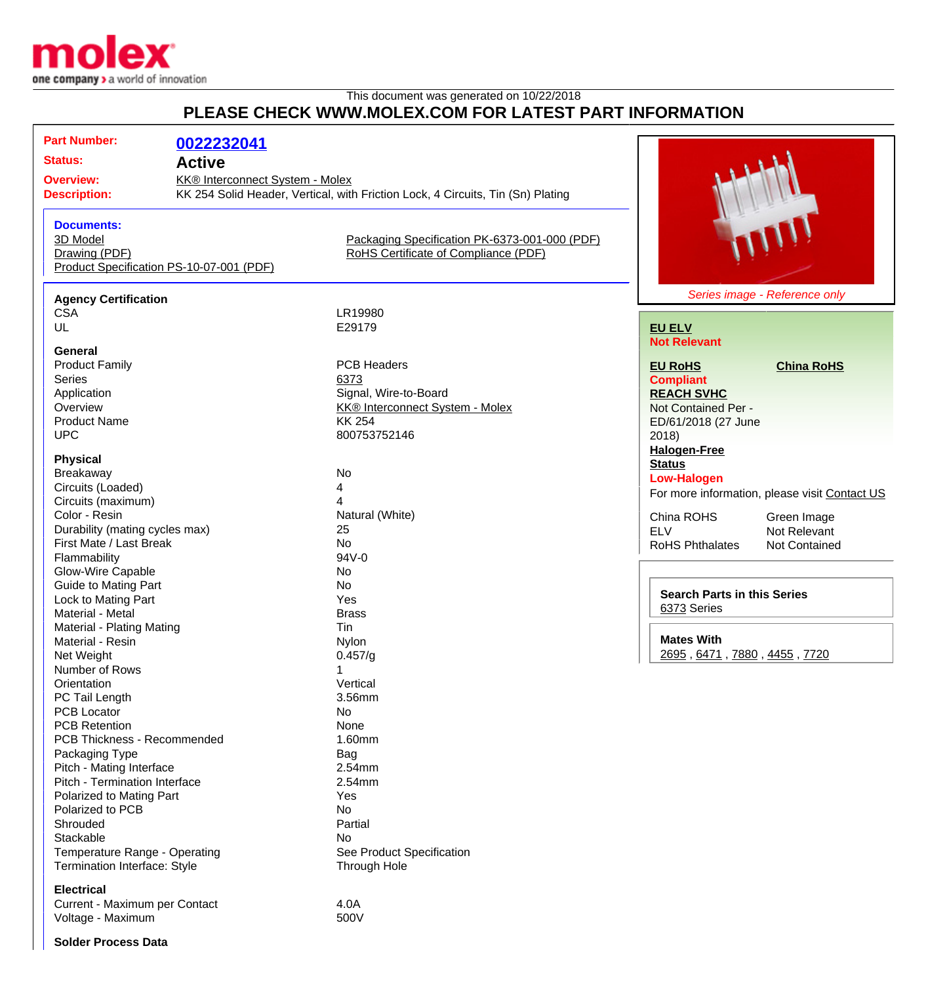

# This document was generated on 10/22/2018 **PLEASE CHECK WWW.MOLEX.COM FOR LATEST PART INFORMATION**

| F LLAJL VIILVIN IVIVIVIIIULLA. VUII I VIN LATLJI FAINT IINI VINIIATIVIN |                                          |                                                                                 |                                                |
|-------------------------------------------------------------------------|------------------------------------------|---------------------------------------------------------------------------------|------------------------------------------------|
| <b>Part Number:</b><br><b>Status:</b>                                   | 0022232041                               |                                                                                 |                                                |
|                                                                         | <b>Active</b>                            |                                                                                 |                                                |
| <b>Overview:</b>                                                        | KK® Interconnect System - Molex          |                                                                                 |                                                |
| <b>Description:</b>                                                     |                                          | KK 254 Solid Header, Vertical, with Friction Lock, 4 Circuits, Tin (Sn) Plating |                                                |
| <b>Documents:</b>                                                       |                                          |                                                                                 |                                                |
| 3D Model                                                                |                                          | Packaging Specification PK-6373-001-000 (PDF)                                   |                                                |
| Drawing (PDF)                                                           |                                          | RoHS Certificate of Compliance (PDF)                                            |                                                |
|                                                                         | Product Specification PS-10-07-001 (PDF) |                                                                                 |                                                |
| <b>Agency Certification</b>                                             |                                          |                                                                                 | Series image - Reference only                  |
| <b>CSA</b>                                                              |                                          | LR19980                                                                         |                                                |
| UL                                                                      |                                          | E29179                                                                          | <b>EU ELV</b>                                  |
|                                                                         |                                          |                                                                                 | <b>Not Relevant</b>                            |
| <b>General</b>                                                          |                                          |                                                                                 |                                                |
| <b>Product Family</b>                                                   |                                          | <b>PCB Headers</b>                                                              | <b>EU RoHS</b><br><b>China RoHS</b>            |
| <b>Series</b>                                                           |                                          | 6373                                                                            | <b>Compliant</b>                               |
| Application                                                             |                                          | Signal, Wire-to-Board                                                           | <b>REACH SVHC</b>                              |
| Overview                                                                |                                          | <b>KK® Interconnect System - Molex</b>                                          | Not Contained Per -                            |
| <b>Product Name</b>                                                     |                                          | <b>KK 254</b>                                                                   | ED/61/2018 (27 June                            |
| <b>UPC</b>                                                              |                                          | 800753752146                                                                    | 2018                                           |
|                                                                         |                                          |                                                                                 | <b>Halogen-Free</b>                            |
| <b>Physical</b>                                                         |                                          |                                                                                 | <b>Status</b>                                  |
| Breakaway                                                               |                                          | No                                                                              | <b>Low-Halogen</b>                             |
| Circuits (Loaded)                                                       |                                          | 4                                                                               | For more information, please visit Con         |
| Circuits (maximum)                                                      |                                          |                                                                                 |                                                |
| Color - Resin                                                           |                                          | Natural (White)                                                                 | China ROHS<br>Green Image                      |
| Durability (mating cycles max)                                          |                                          | 25                                                                              | <b>ELV</b><br>Not Relevant                     |
| First Mate / Last Break                                                 |                                          | No                                                                              | <b>RoHS Phthalates</b><br><b>Not Contained</b> |
| Flammability                                                            |                                          | 94V-0                                                                           |                                                |
| Glow-Wire Capable                                                       |                                          | No                                                                              |                                                |
| <b>Guide to Mating Part</b>                                             |                                          | No                                                                              |                                                |
| Lock to Mating Part                                                     |                                          | Yes                                                                             | <b>Search Parts in this Series</b>             |
| Material - Metal                                                        |                                          | <b>Brass</b>                                                                    | 6373 Series                                    |
| Material - Plating Mating                                               |                                          | Tin                                                                             |                                                |
| Material - Resin                                                        |                                          | Nylon                                                                           | <b>Mates With</b>                              |
| Net Weight                                                              |                                          | 0.457/q                                                                         | 2695, 6471, 7880, 4455, 7720                   |
| Number of Rows                                                          |                                          |                                                                                 |                                                |
| Orientation                                                             |                                          | Vertical                                                                        |                                                |
| PC Tail Length                                                          |                                          | 3.56mm                                                                          |                                                |
| <b>PCB Locator</b>                                                      |                                          | No                                                                              |                                                |
| <b>PCB Retention</b>                                                    |                                          | None                                                                            |                                                |
| PCB Thickness - Recommended                                             |                                          | 1.60mm                                                                          |                                                |
| Packaging Type                                                          |                                          | Bag                                                                             |                                                |
| Pitch - Mating Interface                                                |                                          | 2.54mm                                                                          |                                                |
| Pitch - Termination Interface                                           |                                          | 2.54mm                                                                          |                                                |
| Polarized to Mating Part                                                |                                          | Yes                                                                             |                                                |
| Polarized to PCB                                                        |                                          |                                                                                 |                                                |
|                                                                         |                                          | No                                                                              |                                                |
| Shrouded                                                                |                                          | Partial                                                                         |                                                |
| Stackable                                                               |                                          | No                                                                              |                                                |
| Temperature Range - Operating                                           |                                          | See Product Specification                                                       |                                                |

Termination Interface: Style Through Hole

### **Electrical**

Current - Maximum per Contact 4.0A<br>Voltage - Maximum Voltage - Maximum

nation, please visit [Contact US](http://www.molex.com/molex/contact/mxcontact.jsp?channel=Contact Us&channelId=-7)

### **Solder Process Data**